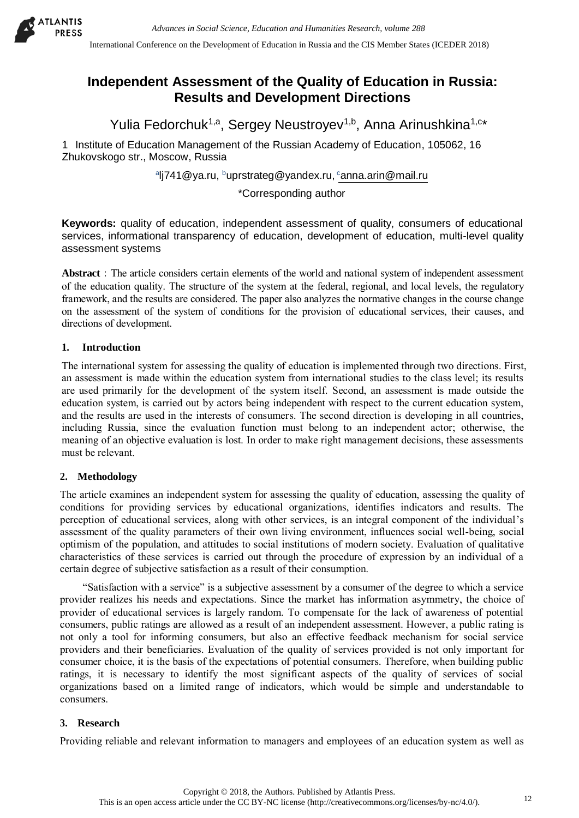

International Conference on the Development of Education in Russia and the CIS Member States (ICEDER 2018)

# **Independent Assessment of the Quality of Education in Russia: Results and Development Directions**

Yulia Fedorchuk<sup>1,a</sup>, Sergey Neustroyev<sup>1,b</sup>, Anna Arinushkina<sup>1,c\*</sup>

1 Institute of Education Management of the Russian Academy of Education, 105062, 16 Zhukovskogo str., Moscow, Russia

<sup>a</sup>lj741@ya.ru, <sup>b</sup>uprstrateg@yandex.ru, <sup>c</sup>anna.arin@mail.ru

\*Corresponding author

**Keywords:** quality of education, independent assessment of quality, consumers of educational services, informational transparency of education, development of education, multi-level quality assessment systems

**Abstract**:The article considers certain elements of the world and national system of independent assessment of the education quality. The structure of the system at the federal, regional, and local levels, the regulatory framework, and the results are considered. The paper also analyzes the normative changes in the course change on the assessment of the system of conditions for the provision of educational services, their causes, and directions of development.

## **1. Introduction**

The international system for assessing the quality of education is implemented through two directions. First, an assessment is made within the education system from international studies to the class level; its results are used primarily for the development of the system itself. Second, an assessment is made outside the education system, is carried out by actors being independent with respect to the current education system, and the results are used in the interests of consumers. The second direction is developing in all countries, including Russia, since the evaluation function must belong to an independent actor; otherwise, the meaning of an objective evaluation is lost. In order to make right management decisions, these assessments must be relevant.

## **2. Methodology**

The article examines an independent system for assessing the quality of education, assessing the quality of conditions for providing services by educational organizations, identifies indicators and results. The perception of educational services, along with other services, is an integral component of the individual's assessment of the quality parameters of their own living environment, influences social well-being, social optimism of the population, and attitudes to social institutions of modern society. Evaluation of qualitative characteristics of these services is carried out through the procedure of expression by an individual of a certain degree of subjective satisfaction as a result of their consumption.

"Satisfaction with a service" is a subjective assessment by a consumer of the degree to which a service provider realizes his needs and expectations. Since the market has information asymmetry, the choice of provider of educational services is largely random. To compensate for the lack of awareness of potential consumers, public ratings are allowed as a result of an independent assessment. However, a public rating is not only a tool for informing consumers, but also an effective feedback mechanism for social service providers and their beneficiaries. Evaluation of the quality of services provided is not only important for consumer choice, it is the basis of the expectations of potential consumers. Therefore, when building public ratings, it is necessary to identify the most significant aspects of the quality of services of social organizations based on a limited range of indicators, which would be simple and understandable to consumers.

## **3. Research**

Providing reliable and relevant information to managers and employees of an education system as well as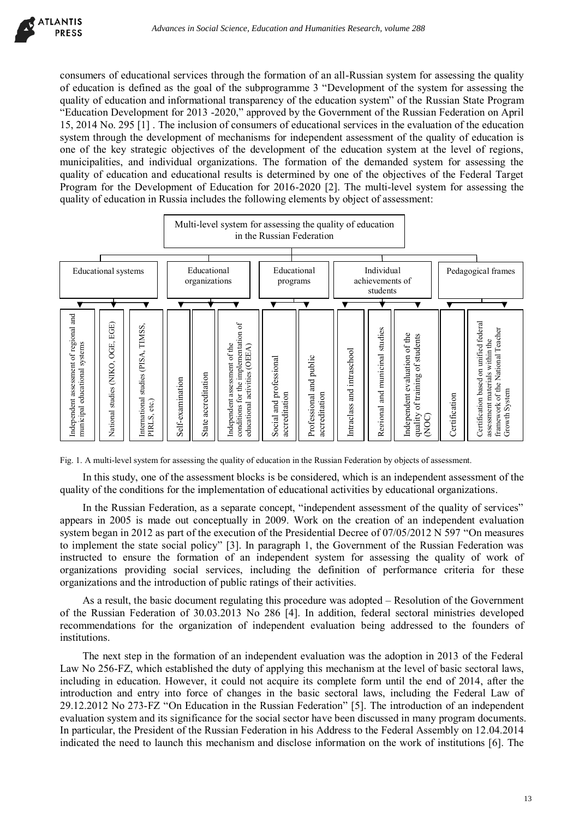consumers of educational services through the formation of an all-Russian system for assessing the quality of education is defined as the goal of the subprogramme 3 "Development of the system for assessing the quality of education and informational transparency of the education system" of the Russian State Program "Education Development for 2013 -2020," approved by the Government of the Russian Federation on April 15, 2014 No. 295 [1] . The inclusion of consumers of educational services in the evaluation of the education system through the development of mechanisms for independent assessment of the quality of education is one of the key strategic objectives of the development of the education system at the level of regions, municipalities, and individual organizations. The formation of the demanded system for assessing the quality of education and educational results is determined by one of the objectives of the Federal Target Program for the Development of Education for 2016-2020 [2]. The multi-level system for assessing the quality of education in Russia includes the following elements by object of assessment:





In this study, one of the assessment blocks is be considered, which is an independent assessment of the quality of the conditions for the implementation of educational activities by educational organizations.

In the Russian Federation, as a separate concept, "independent assessment of the quality of services" appears in 2005 is made out conceptually in 2009. Work on the creation of an independent evaluation system began in 2012 as part of the execution of the Presidential Decree of 07/05/2012 N 597 "On measures to implement the state social policy" [3]. In paragraph 1, the Government of the Russian Federation was instructed to ensure the formation of an independent system for assessing the quality of work of organizations providing social services, including the definition of performance criteria for these organizations and the introduction of public ratings of their activities.

As a result, the basic document regulating this procedure was adopted – Resolution of the Government of the Russian Federation of 30.03.2013 No 286 [4]. In addition, federal sectoral ministries developed recommendations for the organization of independent evaluation being addressed to the founders of institutions.

The next step in the formation of an independent evaluation was the adoption in 2013 of the Federal Law No 256-FZ, which established the duty of applying this mechanism at the level of basic sectoral laws, including in education. However, it could not acquire its complete form until the end of 2014, after the introduction and entry into force of changes in the basic sectoral laws, including the Federal Law of 29.12.2012 No 273-FZ "On Education in the Russian Federation" [5]. The introduction of an independent evaluation system and its significance for the social sector have been discussed in many program documents. In particular, the President of the Russian Federation in his Address to the Federal Assembly on 12.04.2014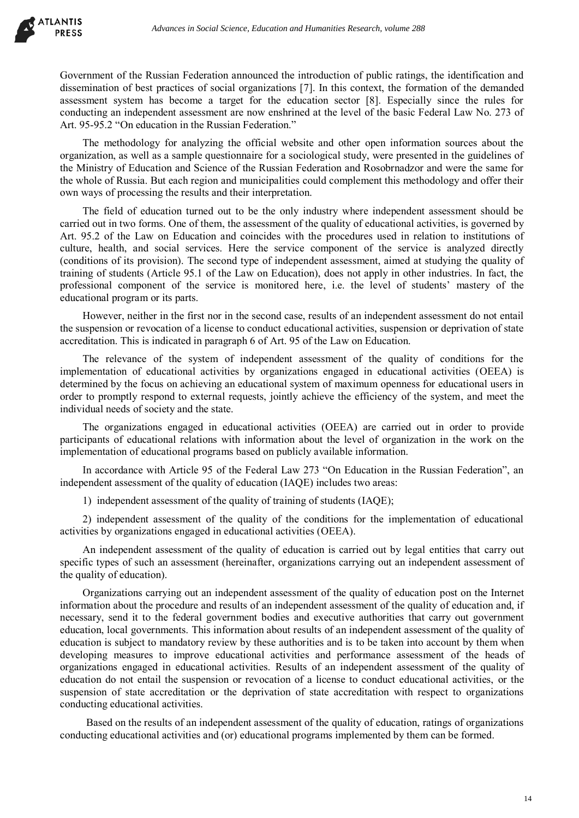Government of the Russian Federation announced the introduction of public ratings, the identification and dissemination of best practices of social organizations [7]. In this context, the formation of the demanded assessment system has become a target for the education sector [8]. Especially since the rules for conducting an independent assessment are now enshrined at the level of the basic Federal Law No. 273 of Art. 95-95.2 "On education in the Russian Federation."

The methodology for analyzing the official website and other open information sources about the organization, as well as a sample questionnaire for a sociological study, were presented in the guidelines of the Ministry of Education and Science of the Russian Federation and Rosobrnadzor and were the same for the whole of Russia. But each region and municipalities could complement this methodology and offer their own ways of processing the results and their interpretation.

The field of education turned out to be the only industry where independent assessment should be carried out in two forms. One of them, the assessment of the quality of educational activities, is governed by Art. 95.2 of the Law on Education and coincides with the procedures used in relation to institutions of culture, health, and social services. Here the service component of the service is analyzed directly (conditions of its provision). The second type of independent assessment, aimed at studying the quality of training of students (Article 95.1 of the Law on Education), does not apply in other industries. In fact, the professional component of the service is monitored here, i.e. the level of students' mastery of the educational program or its parts.

However, neither in the first nor in the second case, results of an independent assessment do not entail the suspension or revocation of a license to conduct educational activities, suspension or deprivation of state accreditation. This is indicated in paragraph 6 of Art. 95 of the Law on Education.

The relevance of the system of independent assessment of the quality of conditions for the implementation of educational activities by organizations engaged in educational activities (OEEA) is determined by the focus on achieving an educational system of maximum openness for educational users in order to promptly respond to external requests, jointly achieve the efficiency of the system, and meet the individual needs of society and the state.

The organizations engaged in educational activities (OEEA) are carried out in order to provide participants of educational relations with information about the level of organization in the work on the implementation of educational programs based on publicly available information.

In accordance with Article 95 of the Federal Law 273 "On Education in the Russian Federation", an independent assessment of the quality of education (IAQE) includes two areas:

1) independent assessment of the quality of training of students (IAQE);

2) independent assessment of the quality of the conditions for the implementation of educational activities by organizations engaged in educational activities (OEEA).

An independent assessment of the quality of education is carried out by legal entities that carry out specific types of such an assessment (hereinafter, organizations carrying out an independent assessment of the quality of education).

Organizations carrying out an independent assessment of the quality of education post on the Internet information about the procedure and results of an independent assessment of the quality of education and, if necessary, send it to the federal government bodies and executive authorities that carry out government education, local governments. This information about results of an independent assessment of the quality of education is subject to mandatory review by these authorities and is to be taken into account by them when developing measures to improve educational activities and performance assessment of the heads of organizations engaged in educational activities. Results of an independent assessment of the quality of education do not entail the suspension or revocation of a license to conduct educational activities, or the suspension of state accreditation or the deprivation of state accreditation with respect to organizations conducting educational activities.

Based on the results of an independent assessment of the quality of education, ratings of organizations conducting educational activities and (or) educational programs implemented by them can be formed.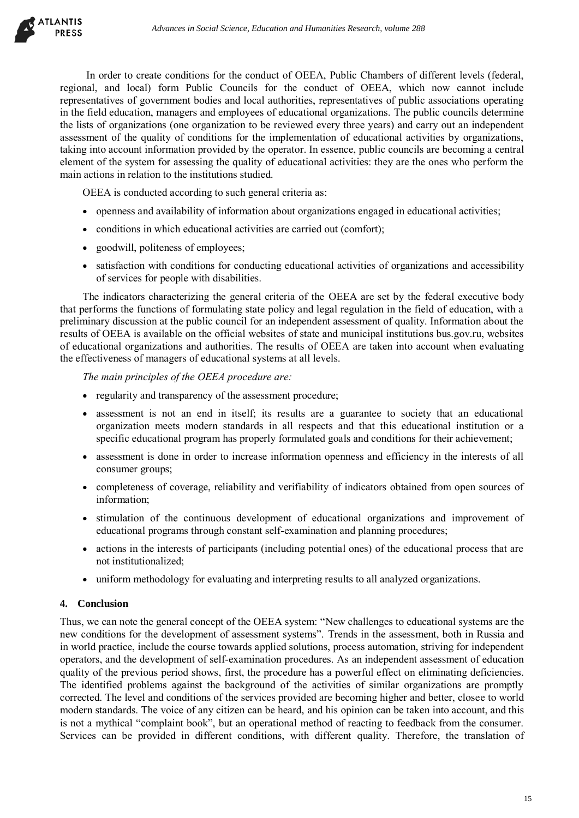

In order to create conditions for the conduct of OEEA, Public Chambers of different levels (federal, regional, and local) form Public Councils for the conduct of OEEA, which now cannot include representatives of government bodies and local authorities, representatives of public associations operating in the field education, managers and employees of educational organizations. The public councils determine the lists of organizations (one organization to be reviewed every three years) and carry out an independent assessment of the quality of conditions for the implementation of educational activities by organizations, taking into account information provided by the operator. In essence, public councils are becoming a central element of the system for assessing the quality of educational activities: they are the ones who perform the main actions in relation to the institutions studied.

OEEA is conducted according to such general criteria as:

- openness and availability of information about organizations engaged in educational activities;
- conditions in which educational activities are carried out (comfort);
- goodwill, politeness of employees;
- satisfaction with conditions for conducting educational activities of organizations and accessibility of services for people with disabilities.

The indicators characterizing the general criteria of the OEEA are set by the federal executive body that performs the functions of formulating state policy and legal regulation in the field of education, with a preliminary discussion at the public council for an independent assessment of quality. Information about the results of OEEA is available on the official websites of state and municipal institutions bus.gov.ru, websites of educational organizations and authorities. The results of OEEA are taken into account when evaluating the effectiveness of managers of educational systems at all levels.

*The main principles of the OEEA procedure are:* 

- regularity and transparency of the assessment procedure;
- assessment is not an end in itself; its results are a guarantee to society that an educational organization meets modern standards in all respects and that this educational institution or a specific educational program has properly formulated goals and conditions for their achievement;
- assessment is done in order to increase information openness and efficiency in the interests of all consumer groups;
- completeness of coverage, reliability and verifiability of indicators obtained from open sources of information;
- stimulation of the continuous development of educational organizations and improvement of educational programs through constant self-examination and planning procedures;
- actions in the interests of participants (including potential ones) of the educational process that are not institutionalized;
- uniform methodology for evaluating and interpreting results to all analyzed organizations.

#### **4. Conclusion**

Thus, we can note the general concept of the OEEA system: "New challenges to educational systems are the new conditions for the development of assessment systems". Trends in the assessment, both in Russia and in world practice, include the course towards applied solutions, process automation, striving for independent operators, and the development of self-examination procedures. As an independent assessment of education quality of the previous period shows, first, the procedure has a powerful effect on eliminating deficiencies. The identified problems against the background of the activities of similar organizations are promptly corrected. The level and conditions of the services provided are becoming higher and better, closee to world modern standards. The voice of any citizen can be heard, and his opinion can be taken into account, and this is not a mythical "complaint book", but an operational method of reacting to feedback from the consumer. Services can be provided in different conditions, with different quality. Therefore, the translation of